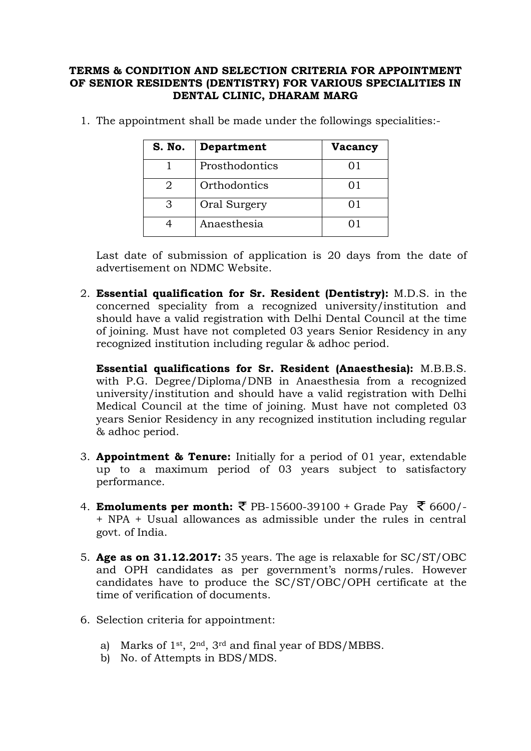## **TERMS & CONDITION AND SELECTION CRITERIA FOR APPOINTMENT OF SENIOR RESIDENTS (DENTISTRY) FOR VARIOUS SPECIALITIES IN DENTAL CLINIC, DHARAM MARG**

| S. No. | Department     | Vacancy |
|--------|----------------|---------|
|        | Prosthodontics | 01      |
|        | Orthodontics   | O 1     |
|        | Oral Surgery   | ( ) I   |
|        | Anaesthesia    |         |

1. The appointment shall be made under the followings specialities:-

Last date of submission of application is 20 days from the date of advertisement on NDMC Website.

2. **Essential qualification for Sr. Resident (Dentistry):** M.D.S. in the concerned speciality from a recognized university/institution and should have a valid registration with Delhi Dental Council at the time of joining. Must have not completed 03 years Senior Residency in any recognized institution including regular & adhoc period.

**Essential qualifications for Sr. Resident (Anaesthesia):** M.B.B.S. with P.G. Degree/Diploma/DNB in Anaesthesia from a recognized university/institution and should have a valid registration with Delhi Medical Council at the time of joining. Must have not completed 03 years Senior Residency in any recognized institution including regular & adhoc period.

- 3. **Appointment & Tenure:** Initially for a period of 01 year, extendable up to a maximum period of 03 years subject to satisfactory performance.
- 4. **Emoluments per month:** ₹ PB-15600-39100 + Grade Pay ₹ 6600/-+ NPA + Usual allowances as admissible under the rules in central govt. of India.
- 5. **Age as on 31.12.2017:** 35 years. The age is relaxable for SC/ST/OBC and OPH candidates as per government's norms/rules. However candidates have to produce the SC/ST/OBC/OPH certificate at the time of verification of documents.
- 6. Selection criteria for appointment:
	- a) Marks of 1st, 2nd, 3rd and final year of BDS/MBBS.
	- b) No. of Attempts in BDS/MDS.